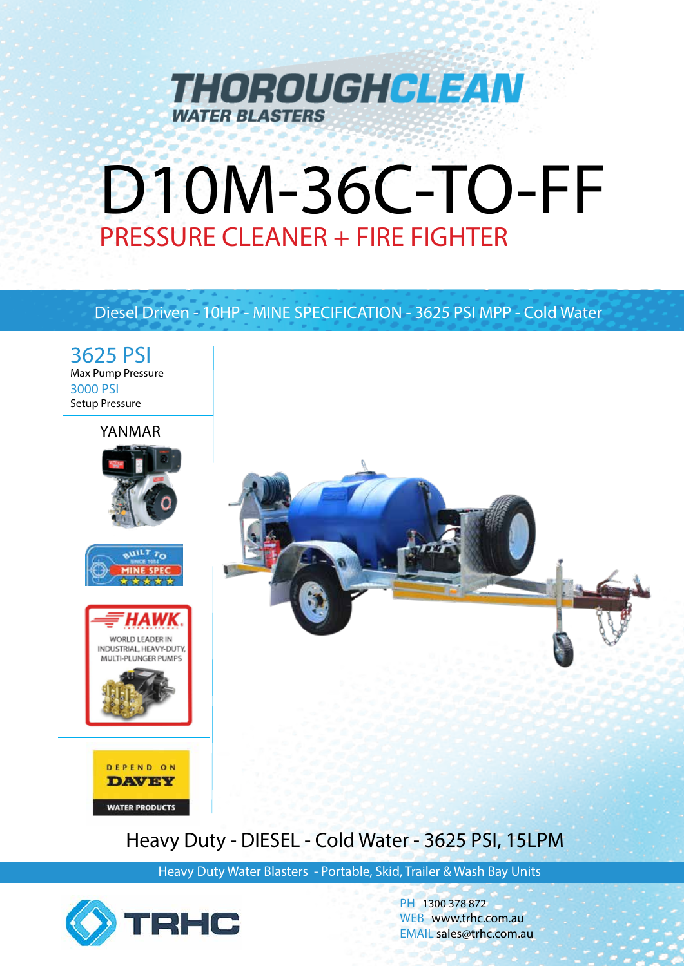

# D10M-36C-TO-FF PRESSURE CLEANER + FIRE FIGHTER

## Diesel Driven - 10HP - MINE SPECIFICATION - 3625 PSI MPP - Cold Water



# Heavy Duty - DIESEL - Cold Water - 3625 PSI, 15LPM

Heavy Duty Water Blasters - Portable, Skid, Trailer & Wash Bay Units



**WATER PRODUCTS** 

PH 1300 378 872 WEB www.trhc.com.au EMAIL sales@trhc.com.au